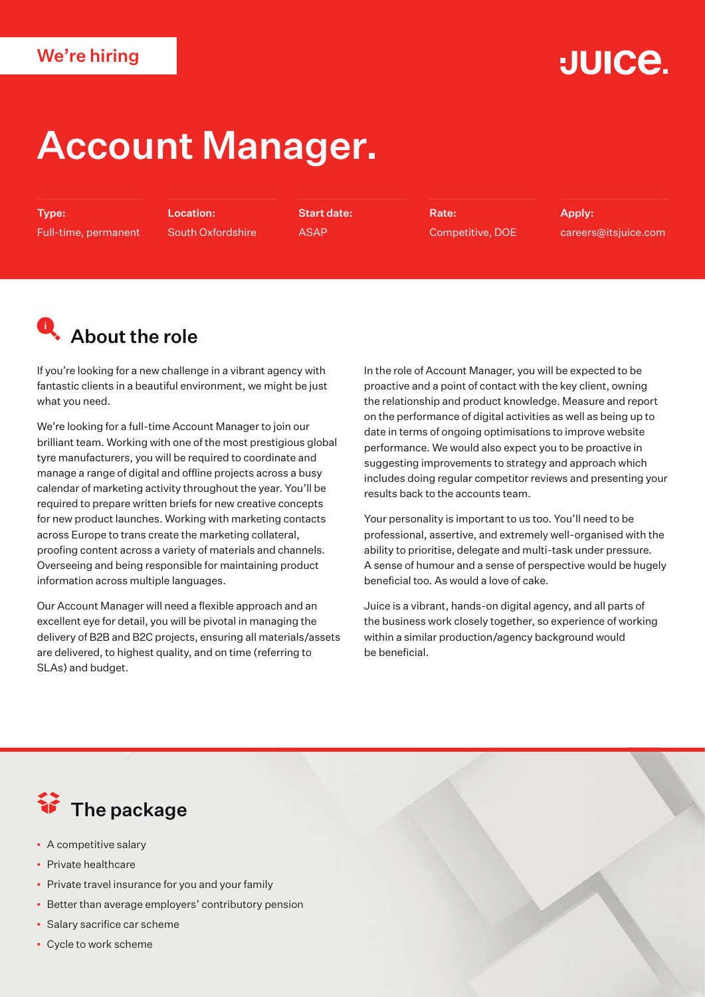#### We're hiring

## **JUICE.**

# Account Manager.

Type: Full-time, permanent

Location: South Oxfordshire Start date: ASAP

Rate: Competitive, DOE Apply: careers@itsjuice.com

## **Q**. About the role

If you're looking for a new challenge in a vibrant agency with fantastic clients in a beautiful environment, we might be just what you need.

We're looking for a full-time Account Manager to join our brilliant team. Working with one of the most prestigious global tyre manufacturers, you will be required to coordinate and manage a range of digital and offline projects across a busy calendar of marketing activity throughout the year. You'll be required to prepare written briefs for new creative concepts for new product launches. Working with marketing contacts across Europe to trans create the marketing collateral, proofing content across a variety of materials and channels. Overseeing and being responsible for maintaining product information across multiple languages.

Our Account Manager will need a flexible approach and an excellent eye for detail, you will be pivotal in managing the delivery of B2B and B2C projects, ensuring all materials/assets are delivered, to highest quality, and on time (referring to SLAs) and budget.

In the role of Account Manager, you will be expected to be proactive and a point of contact with the key client, owning the relationship and product knowledge. Measure and report on the performance of digital activities as well as being up to date in terms of ongoing optimisations to improve website performance. We would also expect you to be proactive in suggesting improvements to strategy and approach which includes doing regular competitor reviews and presenting your results back to the accounts team.

Your personality is important to us too. You'll need to be professional, assertive, and extremely well-organised with the ability to prioritise, delegate and multi-task under pressure. A sense of humour and a sense of perspective would be hugely beneficial too. As would a love of cake.

Juice is a vibrant, hands-on digital agency, and all parts of the business work closely together, so experience of working within a similar production/agency background would be beneficial.

### **行** The package

- A competitive salary
- Private healthcare
- **Private travel insurance for you and your family**
- Better than average employers' contributory pension
- Salary sacrifice car scheme
- Cycle to work scheme